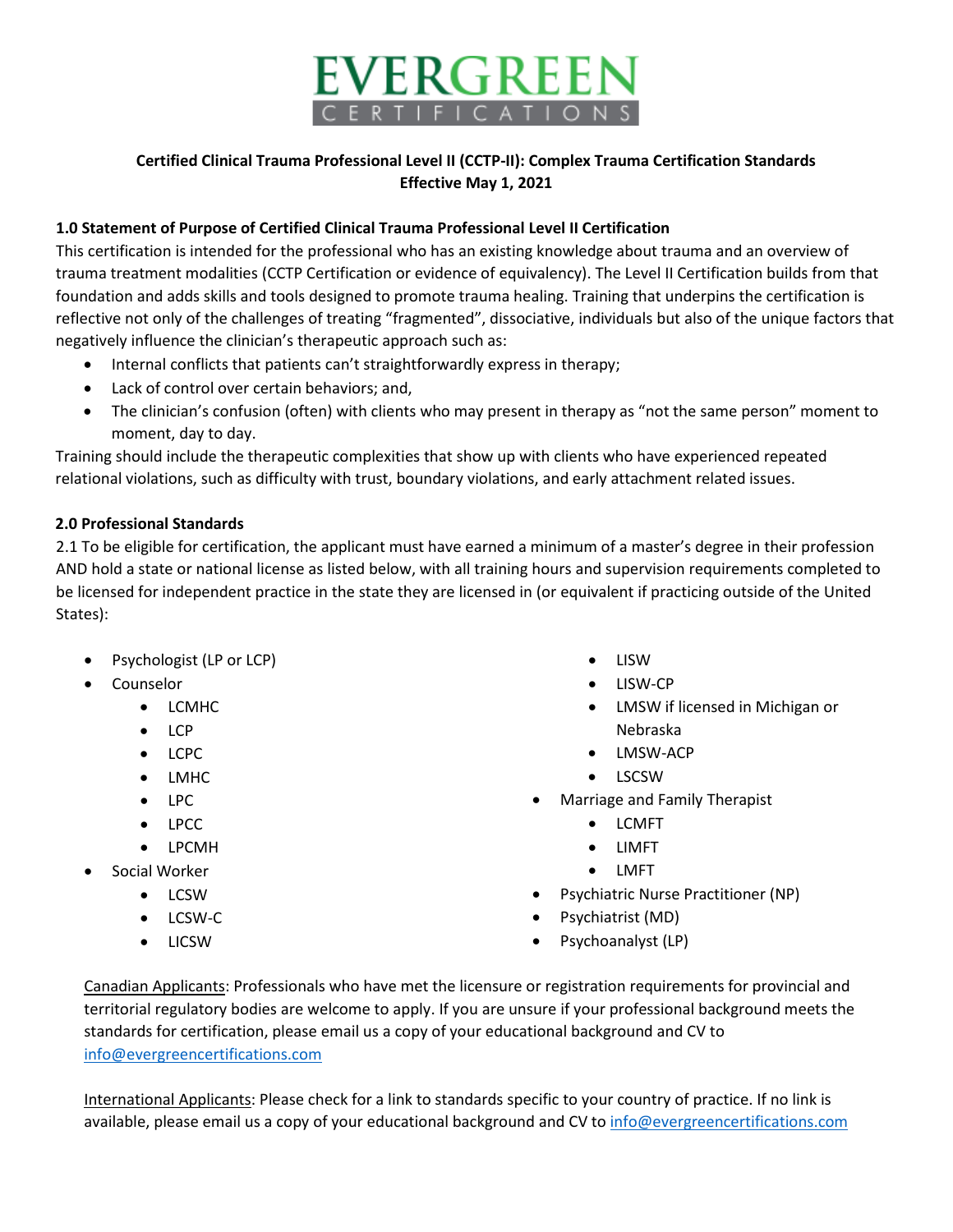

## **Certified Clinical Trauma Professional Level II (CCTP-II): Complex Trauma Certification Standards Effective May 1, 2021**

#### **1.0 Statement of Purpose of Certified Clinical Trauma Professional Level II Certification**

This certification is intended for the professional who has an existing knowledge about trauma and an overview of trauma treatment modalities (CCTP Certification or evidence of equivalency). The Level II Certification builds from that foundation and adds skills and tools designed to promote trauma healing. Training that underpins the certification is reflective not only of the challenges of treating "fragmented", dissociative, individuals but also of the unique factors that negatively influence the clinician's therapeutic approach such as:

- Internal conflicts that patients can't straightforwardly express in therapy;
- Lack of control over certain behaviors; and,
- The clinician's confusion (often) with clients who may present in therapy as "not the same person" moment to moment, day to day.

Training should include the therapeutic complexities that show up with clients who have experienced repeated relational violations, such as difficulty with trust, boundary violations, and early attachment related issues.

#### **2.0 Professional Standards**

2.1 To be eligible for certification, the applicant must have earned a minimum of a master's degree in their profession AND hold a state or national license as listed below, with all training hours and supervision requirements completed to be licensed for independent practice in the state they are licensed in (or equivalent if practicing outside of the United States):

- Psychologist (LP or LCP)
- **Counselor** 
	- LCMHC
	- LCP
	- LCPC
	- LMHC
	- LPC
	- LPCC
	- LPCMH
- Social Worker
	- LCSW
	- LCSW-C
	- LICSW
- LISW
- LISW-CP
- LMSW if licensed in Michigan or Nebraska
- LMSW-ACP
- LSCSW
- Marriage and Family Therapist
	- LCMFT
	- LIMFT
	- LMFT
- Psychiatric Nurse Practitioner (NP)
- Psychiatrist (MD)
- Psychoanalyst (LP)

Canadian Applicants: Professionals who have met the licensure or registration requirements for provincial and territorial regulatory bodies are welcome to apply. If you are unsure if your professional background meets the standards for certification, please email us a copy of your educational background and CV to [info@evergreencertifications.com](mailto:info@evergreencertifications.com)

International Applicants: Please check for a link to standards specific to your country of practice. If no link is available, please email us a copy of your educational background and CV to [info@evergreencertifications.com](mailto:info@evergreencertifications.com)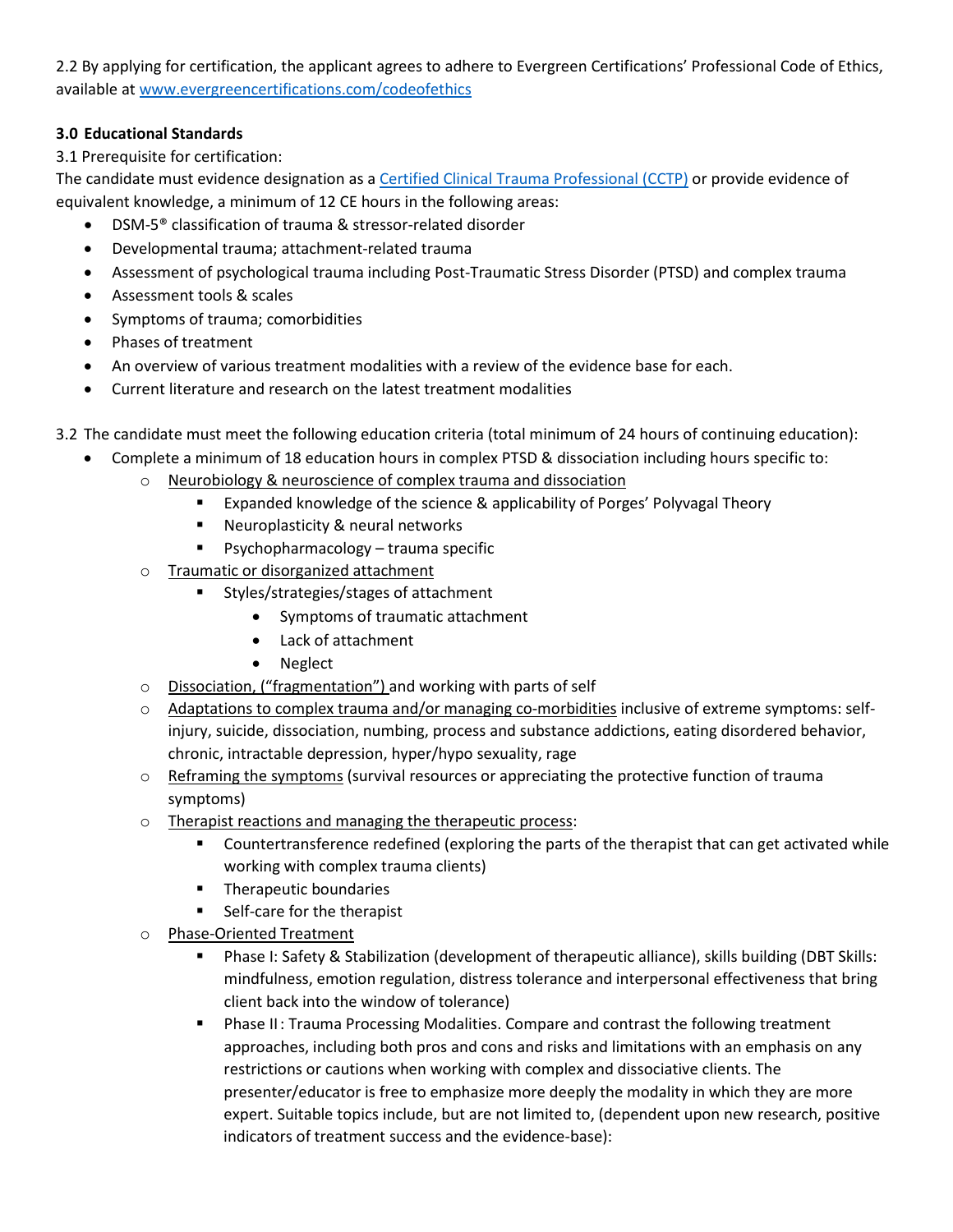2.2 By applying for certification, the applicant agrees to adhere to Evergreen Certifications' Professional Code of Ethics, available a[t www.evergreencertifications.com/codeofethics](http://www.evergreencertifications.com/codeofethics)

### **3.0 Educational Standards**

3.1 Prerequisite for certification:

The candidate must evidence designation as a [Certified Clinical Trauma Professional \(CCTP\)](https://www.evergreencertifications.com/evg/detail/1000/certified-clinical-trauma-professional-cctp) or provide evidence of equivalent knowledge, a minimum of 12 CE hours in the following areas:

- DSM-5® classification of trauma & stressor-related disorder
- Developmental trauma; attachment-related trauma
- Assessment of psychological trauma including Post-Traumatic Stress Disorder (PTSD) and complex trauma
- Assessment tools & scales
- Symptoms of trauma; comorbidities
- Phases of treatment
- An overview of various treatment modalities with a review of the evidence base for each.
- Current literature and research on the latest treatment modalities
- 3.2 The candidate must meet the following education criteria (total minimum of 24 hours of continuing education):
	- Complete a minimum of 18 education hours in complex PTSD & dissociation including hours specific to:
		- o Neurobiology & neuroscience of complex trauma and dissociation
			- **EXPANDED EXPANDED EXPANDED EXPANDED EXPANDED F** Expanded knowledge of the science & applicability of Porges' Polyvagal Theory
			- **Neuroplasticity & neural networks**
			- **Psychopharmacology trauma specific**
			- o Traumatic or disorganized attachment
				- **Styles/strategies/stages of attachment** 
					- Symptoms of traumatic attachment
					- Lack of attachment
					- Neglect
			- o Dissociation, ("fragmentation") and working with parts of self
			- o Adaptations to complex trauma and/or managing co-morbidities inclusive of extreme symptoms: selfinjury, suicide, dissociation, numbing, process and substance addictions, eating disordered behavior, chronic, intractable depression, hyper/hypo sexuality, rage
			- $\circ$  Reframing the symptoms (survival resources or appreciating the protective function of trauma symptoms)
			- o Therapist reactions and managing the therapeutic process:
				- **Countertransference redefined (exploring the parts of the therapist that can get activated while** working with complex trauma clients)
				- **Therapeutic boundaries**
				- Self-care for the therapist
			- o Phase-Oriented Treatment
				- Phase I: Safety & Stabilization (development of therapeutic alliance), skills building (DBT Skills: mindfulness, emotion regulation, distress tolerance and interpersonal effectiveness that bring client back into the window of tolerance)
				- **Phase II: Trauma Processing Modalities. Compare and contrast the following treatment** approaches, including both pros and cons and risks and limitations with an emphasis on any restrictions or cautions when working with complex and dissociative clients. The presenter/educator is free to emphasize more deeply the modality in which they are more expert. Suitable topics include, but are not limited to, (dependent upon new research, positive indicators of treatment success and the evidence-base):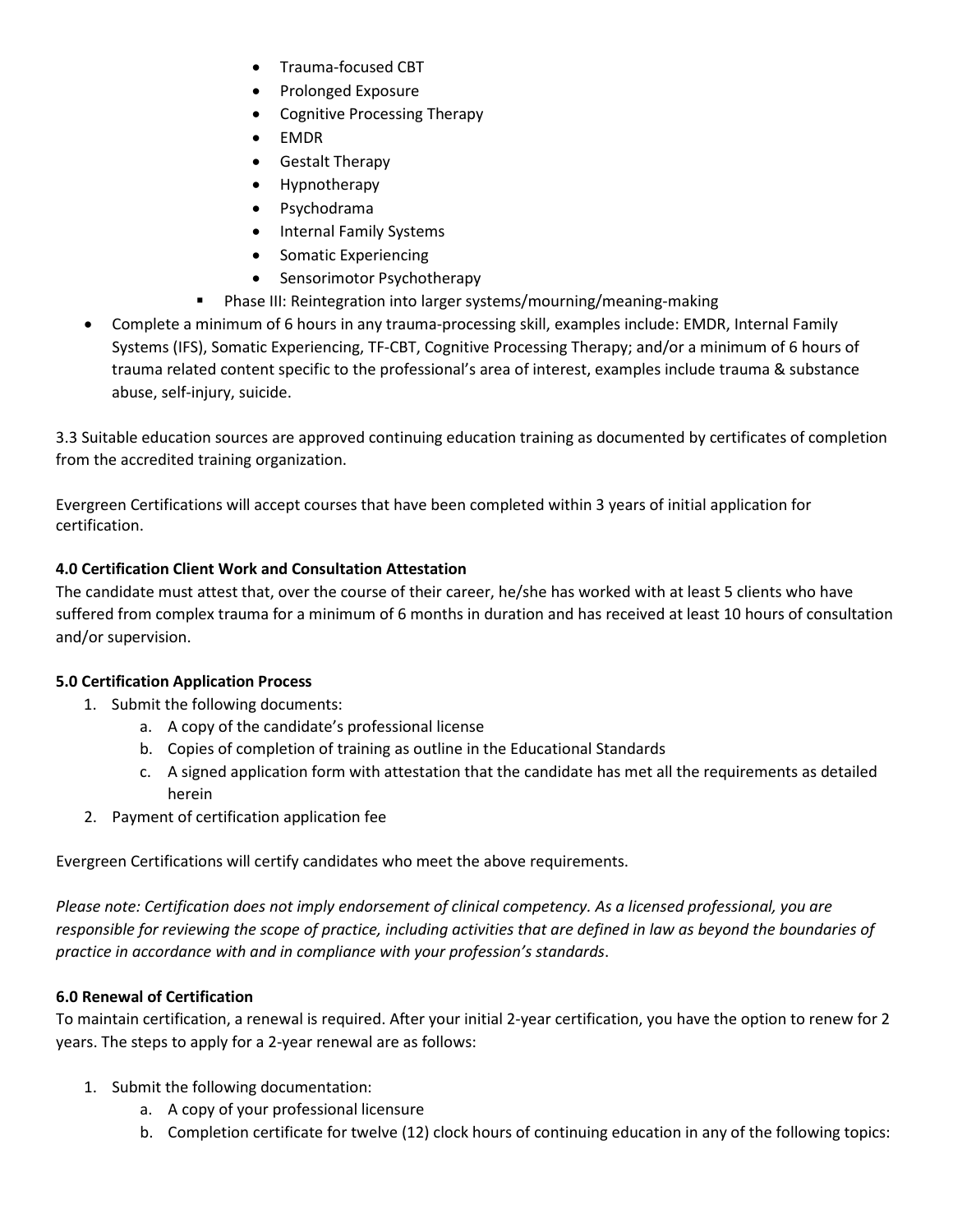- Trauma-focused CBT
- Prolonged Exposure
- Cognitive Processing Therapy
- EMDR
- Gestalt Therapy
- Hypnotherapy
- Psychodrama
- Internal Family Systems
- Somatic Experiencing
- Sensorimotor Psychotherapy
- Phase III: Reintegration into larger systems/mourning/meaning-making
- Complete a minimum of 6 hours in any trauma-processing skill, examples include: EMDR, Internal Family Systems (IFS), Somatic Experiencing, TF-CBT, Cognitive Processing Therapy; and/or a minimum of 6 hours of trauma related content specific to the professional's area of interest, examples include trauma & substance abuse, self-injury, suicide.

3.3 Suitable education sources are approved continuing education training as documented by certificates of completion from the accredited training organization.

Evergreen Certifications will accept courses that have been completed within 3 years of initial application for certification.

# **4.0 Certification Client Work and Consultation Attestation**

The candidate must attest that, over the course of their career, he/she has worked with at least 5 clients who have suffered from complex trauma for a minimum of 6 months in duration and has received at least 10 hours of consultation and/or supervision.

# **5.0 Certification Application Process**

- 1. Submit the following documents:
	- a. A copy of the candidate's professional license
	- b. Copies of completion of training as outline in the Educational Standards
	- c. A signed application form with attestation that the candidate has met all the requirements as detailed herein
- 2. Payment of certification application fee

Evergreen Certifications will certify candidates who meet the above requirements.

*Please note: Certification does not imply endorsement of clinical competency. As a licensed professional, you are responsible for reviewing the scope of practice, including activities that are defined in law as beyond the boundaries of practice in accordance with and in compliance with your profession's standards*.

# **6.0 Renewal of Certification**

To maintain certification, a renewal is required. After your initial 2-year certification, you have the option to renew for 2 years. The steps to apply for a 2-year renewal are as follows:

- 1. Submit the following documentation:
	- a. A copy of your professional licensure
	- b. Completion certificate for twelve (12) clock hours of continuing education in any of the following topics: